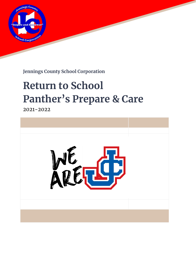

**Jennings County School Corporation**

# **Return to School Panther's Prepare & Care**

2021-2022

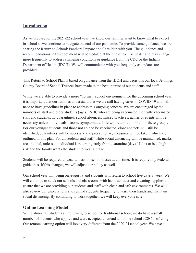#### **Introduction**

As we prepare for the 2021-22 school year, we know our families want to know what to expect in school as we continue to navigate the end of our pandemic. To provide some guidance, we are sharing the Return to School: Panthers Prepare and Care Plan with you. The guidelines and recommendations in this document will be updated at the end of each semester and may change more frequently to address changing conditions or guidance from the CDC or the Indiana Department of Health (IDOH). We will communicate with you frequently as updates are provided.

This Return to School Plan is based on guidance from the IDOH and decisions our local Jennings County Board of School Trustees have made in the best interest of our students and staff.

While we are able to provide a more "normal" school environment for the upcoming school year, it is important that our families understand that we are still having cases of COVID-19 and will need to have guidelines in place to address this ongoing concern. We are encouraged by the numbers of staff and older students (ages 12-18) who are being vaccinated. For fully vaccinated staff and students, no quarantines, school absences, missed practices, games or events will be necessary unless individuals become symptomatic. Life will return to normal for these groups. For our younger students and those not able to be vaccinated, close contacts will still be identified, quarantines will be necessary and precautionary measures will be taken, which are outlined in this plan. For all students and staff, while social distancing will be maintained, masks are optional, unless an individual is returning early from quarantine (days 11-14) or is at high risk and the family wants the student to wear a mask.

Students will be required to wear a mask on school buses at this time. It is required by Federal guidelines. If this changes, we will adjust our policy as well.

Our school year will begin on August 9 and students will return to school five days a week. We will continue to stock our schools and classrooms with hand sanitizer and cleaning supplies to ensure that we are providing our students and staff with clean and safe environments. We will also review our expectations and remind students frequently to wash their hands and maintain social distancing. By continuing to work together, we will keep everyone safe.

#### **Online Learning Model**

While almost all students are returning to school for traditional school, we do have a small number of students who applied and were accepted to attend an online school JCSC is offering. Our remote learning option will look very different from the 2020-21school year. We have a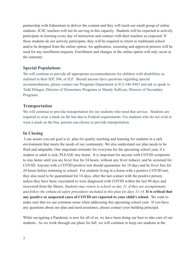partnership with Edmentum to deliver the content and they will teach our small group of online students. JCSC teachers will not be serving in this capacity. Students will be expected to actively participate in learning every day of instruction and connect with their teachers as expected. If these students do not actively participate, they will be required to return to traditional school and/or be dropped from the online option. An application, screening and approval process will be used for any enrollment requests. Enrollment and changes in the online option will only occur at the semester.

#### **Special Populations**

We will continue to provide all appropriate accommodations for children with disabilities as outlined in their IEP, 504, or ILP. Should anyone have questions regarding special accommodations, please contact our Programs Department at 812-346-4483 and ask to speak to Todd Ebinger, Director of Elementary Programs or Mandy Sullivan, Director of Secondary Programs.

#### **Transportation**

We will continue to provide transportation for our students who need that service. Students are required to wear a mask on the bus due to Federal requirements. For students who do not wish to wear a mask on the bus, parents can choose to provide transportation.

## **In Closing**

I can assure you our goal is to plan for quality teaching and learning for students in a safe environment that meets the needs of our community. We also understand our plan needs to be fluid and adaptable. One important reminder for everyone for the upcoming school year, if a student or adult is sick, PLEASE stay home. It is important for anyone with COVID symptoms to stay home until you are fever free for 24 hours, without any fever reducer, and be screened for COVID. Anyone with a COVID positive test should quarantine for 10 days and be fever free for 24 hours before returning to school. For students living in a home with a positive COVID test, they also need to be quarantined for 14 days, after the last contact with the positive person, unless they have been vaccinated or were diagnosed with COVID within the last 90 days and recovered from the illness. *Students may return to school on day 11, if they are asymptomatic and follow the enhanced safety procedures included in this plan for days 11-14*. **It is critical that any positive or suspected cases of COVID are reported to your child's school.** We want to make sure that we use common sense when addressing this upcoming school year. If you have any questions about our plan and need assistance, please contact your building principal.

While navigating a Pandemic is new for all of us, we have been doing our best to take care of our students. As we work through our plans for fall, we will continue to keep our students at the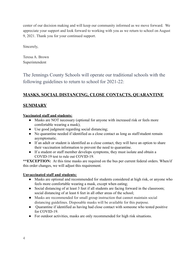center of our decision making and will keep our community informed as we move forward. We appreciate your support and look forward to working with you as we return to school on August 9, 2021. Thank you for your continued support.

Sincerely,

Teresa A. Brown Superintendent

The Jennings County Schools will operate our traditional schools with the following guidelines to return to school for 2021-22:

## **MASKS, SOCIAL DISTANCING, CLOSE CONTACTS, QUARANTINE**

## **SUMMARY**

#### **Vaccinated staff and students:**

- Masks are NOT necessary (optional for anyone with increased risk or feels more comfortable wearing a mask);
- Use good judgment regarding social distancing;
- No quarantine needed if identified as a close contact as long as staff/student remain asymptomatic.
- If an adult or student is identified as a close contact, they will have an option to share their vaccination information to prevent the need to quarantine.
- If a student or staff member develops symptoms, they must isolate and obtain a COVID-19 test to rule out COVID-19.

**\*\*EXCEPTION:** At this time masks are required on the bus per current federal orders. When/if this order changes, we will adjust this requirement.

#### **Unvaccinated staff and students:**

- Masks are optional and recommended for students considered at high risk, or anyone who feels more comfortable wearing a mask, except when eating;
- Social distancing of at least 3 feet if all students are facing forward in the classroom; social distancing of at least 6 feet in all other areas of the school;
- Masks are recommended for small group instruction that cannot maintain social distancing guidelines. Disposable masks will be available for this purpose.
- Quarantine if identified as having had close contact with someone who tested positive for COVID-19.
- For outdoor activities, masks are only recommended for high risk situations.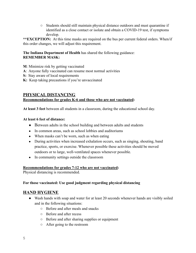○ Students should still maintain physical distance outdoors and must quarantine if identified as a close contact or isolate and obtain a COVID-19 test, if symptoms develop.

**\*\*EXCEPTION:** At this time masks are required on the bus per current federal orders. When/if this order changes, we will adjust this requirement.

#### **The Indiana Department of Health** has shared the following guidance: **REMEMBER MASK:**

- **M**: Minimize risk by getting vaccinated
- **A**: Anyone fully vaccinated can resume most normal activities
- **S:** Stay aware of local requirements
- **K:** Keep taking precautions if you're unvaccinated

#### **PHYSICAL DISTANCING Recommendations for grades K-6 and those who are not vaccinated:**

**At least 3 feet** between all students in a classroom, during the educational school day.

#### **At least 6 feet of distance:**

- Between adults in the school building and between adults and students
- In common areas, such as school lobbies and auditoriums
- When masks can't be worn, such as when eating
- During activities when increased exhalation occurs, such as singing, shouting, band practice, sports, or exercise. Whenever possible these activities should be moved outdoors or to large, well-ventilated spaces whenever possible.
- In community settings outside the classroom

#### **Recommendations for grades 7-12 who are not vaccinated:**

Physical distancing is recommended.

#### **For those vaccinated: Use good judgment regarding physical distancing**

#### **HAND HYGIENE**

- Wash hands with soap and water for at least 20 seconds whenever hands are visibly soiled and in the following situations:
	- Before and after meals and snacks
	- Before and after recess
	- Before and after sharing supplies or equipment
	- After going to the restroom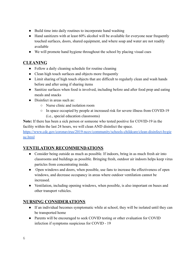- Build time into daily routines to incorporate hand washing
- Hand sanitizers with at least 60% alcohol will be available for everyone near frequently touched surfaces, doors, shared equipment, and where soap and water are not readily available
- We will promote hand hygiene throughout the school by placing visual cues

## **CLEANING**

- Follow a daily cleaning schedule for routine cleaning
- Clean high touch surfaces and objects more frequently
- Limit sharing of high touch objects that are difficult to regularly clean and wash hands before and after using if sharing items
- Sanitize surfaces when food is involved, including before and after food prep and eating meals and snacks
- Disinfect in areas such as:
	- Nurse clinic and isolation room
	- In space occupied by people at increased risk for severe illness from COVID-19 (i.e., special education classrooms)

**Note:** If there has been a sick person or someone who tested positive for COVID-19 in the facility within the last 24 hours, we will clean AND disinfect the space.

[https://www.cdc.gov/coronavirus/2019-ncov/community/schools-childcare/clean-disinfect-hygie](https://www.cdc.gov/coronavirus/2019-ncov/community/schools-childcare/clean-disinfect-hygiene.html) [ne.html](https://www.cdc.gov/coronavirus/2019-ncov/community/schools-childcare/clean-disinfect-hygiene.html)

## **VENTILATION RECOMMENDATIONS**

- Consider being outside as much as possible. If indoors, bring in as much fresh air into classrooms and buildings as possible. Bringing fresh, outdoor air indoors helps keep virus particles from concentrating inside.
- Open windows and doors, when possible, use fans to increase the effectiveness of open windows, and decrease occupancy in areas where outdoor ventilation cannot be increased.
- Ventilation, including opening windows, when possible, is also important on buses and other transport vehicles.

## **NURSING CONSIDERATIONS**

- If an individual becomes symptomatic while at school, they will be isolated until they can be transported home
- Parents will be encouraged to seek COVID testing or other evaluation for COVID infection if symptoms suspicious for COVID - 19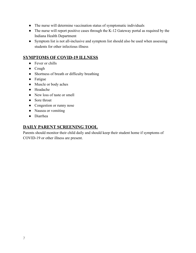- The nurse will determine vaccination status of symptomatic individuals
- The nurse will report positive cases through the K-12 Gateway portal as required by the Indiana Health Department
- Symptom list is not all-inclusive and symptom list should also be used when assessing students for other infectious illness

#### **SYMPTOMS OF COVID-19 ILLNESS**

- Fever or chills
- Cough
- Shortness of breath or difficulty breathing
- Fatigue
- Muscle or body aches
- Headache
- New loss of taste or smell
- Sore throat
- Congestion or runny nose
- Nausea or vomiting
- Diarrhea

## **DAILY PARENT SCREENING TOOL**

Parents should monitor their child daily and should keep their student home if symptoms of COVID-19 or other illness are present.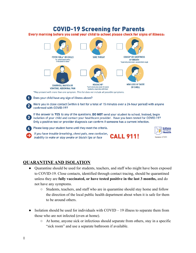# **COVID-19 Screening for Parents**

Every morning before you send your child to school please check for signs of illness:



If you have trouble breathing, chest pain, new confusion, inability to wake or stay awake or bluish lips or face



Indiana **Health** 

## **QUARANTINE AND ISOLATION**

- Quarantine should be used for students, teachers, and staff who might have been exposed to COVID-19. Close contacts, identified through contact tracing, should be quarantined unless they are **fully vaccinated, or have tested positive in the last 3 months,** and do not have any symptoms.
	- Students, teachers, and staff who are in quarantine should stay home and follow the direction of the local public health department about when it is safe for them to be around others.
- Isolation should be used for individuals with  $COVID 19$  illness to separate them from those who are not infected (even at home).
	- At home, anyone sick or infectious should separate from others, stay in a specific "sick room" and use a separate bathroom if available.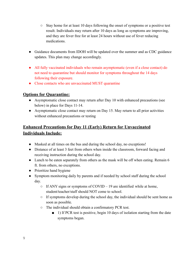- Stay home for at least 10 days following the onset of symptoms or a positive test result. Individuals may return after 10 days as long as symptoms are improving, and they are fever free for at least 24 hours without use of fever reducing medications.
- Guidance documents from IDOH will be updated over the summer and as CDC guidance updates. This plan may change accordingly.
- All fully vaccinated individuals who remain asymptomatic (even if a close contact) do not need to quarantine but should monitor for symptoms throughout the 14 days following their exposure.
- Close contacts who are unvaccinated MUST quarantine

## **Options for Quarantine:**

- Asymptomatic close contact may return after Day 10 with enhanced precautions (see below) in place for Days 11-14.
- Asymptomatic close contact may return on Day 15. May return to all prior activities without enhanced precautions or testing

# **Enhanced Precautions for Day 11 (Early) Return for Unvaccinated Individuals Include:**

- Masked at all times on the bus and during the school day, no exceptions!
- Distance of at least 3 feet from others when inside the classroom, forward facing and receiving instruction during the school day.
- Lunch to be eaten separately from others as the mask will be off when eating. Remain 6 ft. from others, no exceptions.
- Prioritize hand hygiene
- Symptom monitoring daily by parents and if needed by school staff during the school day.
	- $\circ$  If ANY signs or symptoms of COVID 19 are identified while at home, student/teacher/staff should NOT come to school.
	- If symptoms develop during the school day, the individual should be sent home as soon as possible.
	- The individual should obtain a confirmatory PCR test.
		- 1) If PCR test is positive, begin 10 days of isolation starting from the date symptoms began.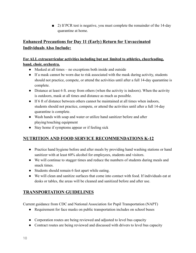■ 2) If PCR test is negative, you must complete the remainder of the 14-day quarantine at home.

# **Enhanced Precautions for Day 11 (Early) Return for Unvaccinated Individuals Also Include:**

#### **For ALL extracurricular activities including but not limited to athletics, cheerleading, band, choir, orchestra.**

- Masked at all times no exceptions both inside and outside
- If a mask cannot be worn due to risk associated with the mask during activity, students should not practice, compete, or attend the activities until after a full 14-day quarantine is complete.
- Distance at least 6 ft. away from others (when the activity is indoors). When the activity is outdoors, mask at all times and distance as much as possible.
- If 6 ft of distance between others cannot be maintained at all times when indoors, students should not practice, compete, or attend the activities until after a full 14-day quarantine is complete.
- Wash hands with soap and water or utilize hand sanitizer before and after playing/touching equipment
- Stay home if symptoms appear or if feeling sick

## **NUTRITION AND FOOD SERVICE RECOMMENDATIONS K-12**

- Practice hand hygiene before and after meals by providing hand washing stations or hand sanitizer with at least 60% alcohol for employees, students and visitors.
- We will continue to stagger times and reduce the numbers of students during meals and snack times.
- Students should remain 6 feet apart while eating.
- We will clean and sanitize surfaces that come into contact with food. If individuals eat at desks or tables, the areas will be cleaned and sanitized before and after use.

# **TRANSPORTATION GUIDELINES**

Current guidance from CDC and National Association for Pupil Transportation (NAPT)

- Requirement for face masks on public transportation includes on school buses
- Corporation routes are being reviewed and adjusted to level bus capacity
- Contract routes are being reviewed and discussed with drivers to level bus capacity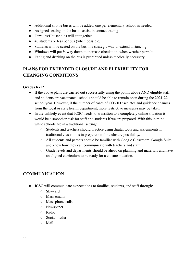- Additional shuttle buses will be added, one per elementary school as needed
- Assigned seating on the bus to assist in contact tracing
- Families/Households will sit together
- 40 students or less per bus (when possible)
- Students will be seated on the bus in a strategic way to extend distancing
- Windows will put  $\frac{1}{2}$  way down to increase circulation, when weather permits
- Eating and drinking on the bus is prohibited unless medically necessary

# **PLANS FOR EXTENDED CLOSURE AND FLEXIBILITY FOR CHANGING CONDITIONS**

#### **Grades K-12**

- If the above plans are carried out successfully using the points above AND eligible staff and students are vaccinated, schools should be able to remain open during the 2021-22 school year. However, if the number of cases of COVID escalates and guidance changes from the local or state health department, more restrictive measures may be taken.
- In the unlikely event that JCSC needs to transition to a completely online situation it would be a smoother task for staff and students if we are prepared. With this in mind, while schools are in a traditional setting:
	- Students and teachers should practice using digital tools and assignments in traditional classrooms in preparation for a closure possibility.
	- All students and parents should be familiar with Google Classroom, Google Suite and know how they can communicate with teachers and staff.
	- Grade levels and departments should be ahead on planning and materials and have an aligned curriculum to be ready for a closure situation.

## **COMMUNICATION**

- JCSC will communicate expectations to families, students, and staff through:
	- Skyward
	- Mass emails
	- Mass phone calls
	- Newspaper
	- Radio
	- Social media
	- Mail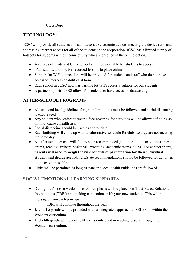○ Class Dojo

# **TECHNOLOGY:**

JCSC will provide all students and staff access to electronic devices meeting the device ratio and addressing internet access for all of the students in the corporation. JCSC has a limited supply of hotspots for students without connectivity who are enrolled in the online option.

- A surplus of iPads and Chrome books will be available for students to access
- iPad, stands, and mic for recorded lessons to place online
- Support for WiFi connections will be provided for students and staff who do not have access to internet capabilities at home
- Each school in JCSC now has parking lot WiFi access available for our students.
- A partnership with IPBS allows for students to have access to datacasting.

# **AFTER-SCHOOL PROGRAMS**

- All state and local guidelines for group limitations must be followed and social distancing is encouraged.
- Any student who prefers to wear a face-covering for activities will be allowed if doing so will not cause a health risk.
- Social distancing should be used as appropriate.
- Each building will come up with an alternative schedule for clubs so they are not meeting the same day.
- All after school events will follow state recommended guidelines to the extent possible: drama, reading, archery, basketball, wrestling, academic teams, clubs. For contact sports, **parents will need to weigh the risk/benefits of participation for their individual student and decide accordingly.**State recommendations should be followed for activities to the extent possible.
- Clubs will be permitted as long as state and local health guidelines are followed.

# **SOCIAL EMOTIONAL LEARNING SUPPORTS**

- During the first two weeks of school, emphasis will be placed on Trust-Based Relational Interventions (TBRI) and making connections with your new students. This will be messaged from each principal.
	- TBRI will continue throughout the year.
- **K and 1st grade** will be provided with an integrated approach to SEL skills within the Wonders curriculum.
- **2nd 6th grade** will receive SEL skills embedded in reading lessons through the Wonders curriculum.